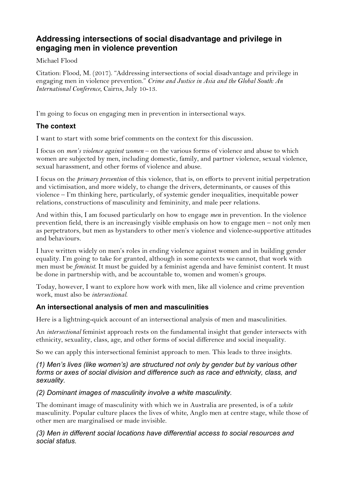# **Addressing intersections of social disadvantage and privilege in engaging men in violence prevention**

### Michael Flood

Citation: Flood, M. (2017). "Addressing intersections of social disadvantage and privilege in engaging men in violence prevention." *Crime and Justice in Asia and the Global South: An International Conference*, Cairns, July 10-13.

I'm going to focus on engaging men in prevention in intersectional ways.

# **The context**

I want to start with some brief comments on the context for this discussion.

I focus on *men's violence against women* – on the various forms of violence and abuse to which women are subjected by men, including domestic, family, and partner violence, sexual violence, sexual harassment, and other forms of violence and abuse.

I focus on the *primary prevention* of this violence, that is, on efforts to prevent initial perpetration and victimisation, and more widely, to change the drivers, determinants, or causes of this violence – I'm thinking here, particularly, of systemic gender inequalities, inequitable power relations, constructions of masculinity and femininity, and male peer relations.

And within this, I am focused particularly on how to engage *men* in prevention. In the violence prevention field, there is an increasingly visible emphasis on how to engage men – not only men as perpetrators, but men as bystanders to other men's violence and violence-supportive attitudes and behaviours.

I have written widely on men's roles in ending violence against women and in building gender equality. I'm going to take for granted, although in some contexts we cannot, that work with men must be *feminist*. It must be guided by a feminist agenda and have feminist content. It must be done in partnership with, and be accountable to, women and women's groups.

Today, however, I want to explore how work with men, like all violence and crime prevention work, must also be *intersectional*.

## **An intersectional analysis of men and masculinities**

Here is a lightning-quick account of an intersectional analysis of men and masculinities.

An *intersectional* feminist approach rests on the fundamental insight that gender intersects with ethnicity, sexuality, class, age, and other forms of social difference and social inequality.

So we can apply this intersectional feminist approach to men. This leads to three insights.

### *(1) Men's lives (like women's) are structured not only by gender but by various other forms or axes of social division and difference such as race and ethnicity, class, and sexuality.*

## *(2) Dominant images of masculinity involve a white masculinity.*

The dominant image of masculinity with which we in Australia are presented, is of a *white* masculinity. Popular culture places the lives of white, Anglo men at centre stage, while those of other men are marginalised or made invisible.

### *(3) Men in different social locations have differential access to social resources and social status.*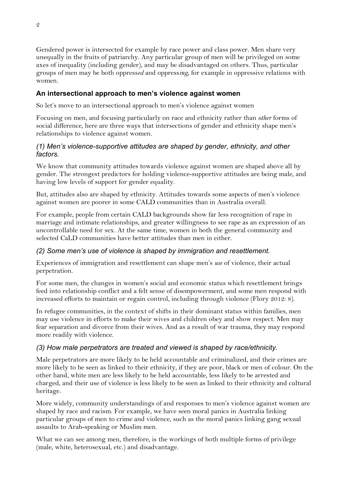Gendered power is intersected for example by race power and class power. Men share very unequally in the fruits of patriarchy. Any particular group of men will be privileged on some axes of inequality (including gender), and may be disadvantaged on others. Thus, particular groups of men may be both oppress*ed* and oppress*ing*, for example in oppressive relations with women.

### **An intersectional approach to men's violence against women**

So let's move to an intersectional approach to men's violence against women

Focusing on men, and focusing particularly on race and ethnicity rather than *other* forms of social difference, here are three ways that intersections of gender and ethnicity shape men's relationships to violence against women.

### *(1) Men's violence-supportive attitudes are shaped by gender, ethnicity, and other factors.*

We know that community attitudes towards violence against women are shaped above all by gender. The strongest predictors for holding violence-supportive attitudes are being male, and having low levels of support for gender equality.

But, attitudes also are shaped by ethnicity. Attitudes towards some aspects of men's violence against women are poorer in some CALD communities than in Australia overall.

For example, people from certain CALD backgrounds show far less recognition of rape in marriage and intimate relationships, and greater willingness to see rape as an expression of an uncontrollable need for sex. At the same time, women in both the general community and selected CaLD communities have better attitudes than men in either.

## *(2) Some men's use of violence is shaped by immigration and resettlement.*

Experiences of immigration and resettlement can shape men's *use* of violence, their actual perpetration.

For some men, the changes in women's social and economic status which resettlement brings feed into relationship conflict and a felt sense of disempowerment, and some men respond with increased efforts to maintain or regain control, including through violence (Flory 2012: 8).

In refugee communities, in the context of shifts in their dominant status within families, men may use violence in efforts to make their wives and children obey and show respect. Men may fear separation and divorce from their wives. And as a result of war trauma, they may respond more readily with violence.

## *(3) How male perpetrators are treated and viewed is shaped by race/ethnicity.*

Male perpetrators are more likely to be held accountable and criminalized, and their crimes are more likely to be seen as linked to their ethnicity, if they are poor, black or men of colour. On the other hand, white men are less likely to be held accountable, less likely to be arrested and charged, and their use of violence is less likely to be seen as linked to their ethnicity and cultural heritage.

More widely, community understandings of and responses to men's violence against women are shaped by race and racism. For example, we have seen moral panics in Australia linking particular groups of men to crime and violence, such as the moral panics linking gang sexual assaults to Arab-speaking or Muslim men.

What we can see among men, therefore, is the workings of both multiple forms of privilege (male, white, heterosexual, etc.) and disadvantage.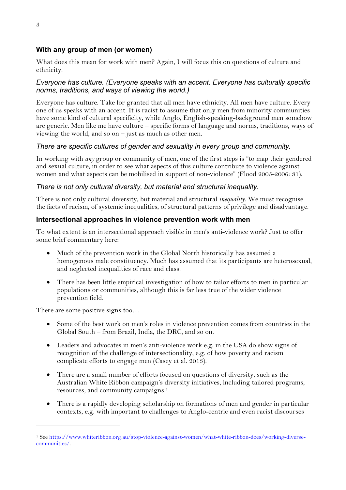## **With any group of men (or women)**

What does this mean for work with men? Again, I will focus this on questions of culture and ethnicity.

### *Everyone has culture. (Everyone speaks with an accent. Everyone has culturally specific norms, traditions, and ways of viewing the world.)*

Everyone has culture. Take for granted that all men have ethnicity. All men have culture. Every one of us speaks with an accent. It is racist to assume that only men from minority communities have some kind of cultural specificity, while Anglo, English-speaking-background men somehow are generic. Men like me have culture – specific forms of language and norms, traditions, ways of viewing the world, and so on  $-$  just as much as other men.

### *There are specific cultures of gender and sexuality in every group and community.*

In working with *any* group or community of men, one of the first steps is "to map their gendered and sexual culture, in order to see what aspects of this culture contribute to violence against women and what aspects can be mobilised in support of non-violence" (Flood 2005-2006: 31).

#### *There is not only cultural diversity, but material and structural inequality.*

There is not only cultural diversity, but material and structural *inequality*. We must recognise the facts of racism, of systemic inequalities, of structural patterns of privilege and disadvantage.

### **Intersectional approaches in violence prevention work with men**

To what extent is an intersectional approach visible in men's anti-violence work? Just to offer some brief commentary here:

- Much of the prevention work in the Global North historically has assumed a homogenous male constituency. Much has assumed that its participants are heterosexual, and neglected inequalities of race and class.
- There has been little empirical investigation of how to tailor efforts to men in particular populations or communities, although this is far less true of the wider violence prevention field.

There are some positive signs too...

-

- Some of the best work on men's roles in violence prevention comes from countries in the Global South – from Brazil, India, the DRC, and so on.
- Leaders and advocates in men's anti-violence work e.g. in the USA do show signs of recognition of the challenge of intersectionality, e.g. of how poverty and racism complicate efforts to engage men (Casey et al. 2013).
- There are a small number of efforts focused on questions of diversity, such as the Australian White Ribbon campaign's diversity initiatives, including tailored programs, resources, and community campaigns.<sup>1</sup>
- There is a rapidly developing scholarship on formations of men and gender in particular contexts, e.g. with important to challenges to Anglo-centric and even racist discourses

<sup>&</sup>lt;sup>1</sup> See https://www.whiteribbon.org.au/stop-violence-against-women/what-white-ribbon-does/working-diversecommunities/.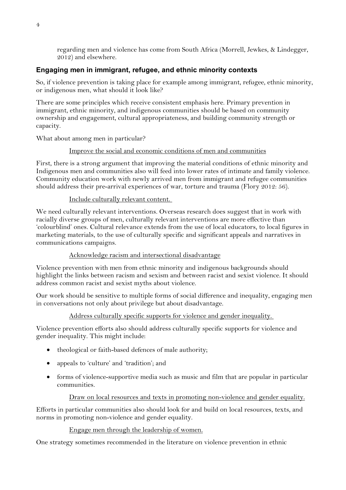regarding men and violence has come from South Africa (Morrell, Jewkes, & Lindegger, 2012) and elsewhere.

### **Engaging men in immigrant, refugee, and ethnic minority contexts**

So, if violence prevention is taking place for example among immigrant, refugee, ethnic minority, or indigenous men, what should it look like?

There are some principles which receive consistent emphasis here. Primary prevention in immigrant, ethnic minority, and indigenous communities should be based on community ownership and engagement, cultural appropriateness, and building community strength or capacity.

What about among men in particular?

#### Improve the social and economic conditions of men and communities

First, there is a strong argument that improving the material conditions of ethnic minority and Indigenous men and communities also will feed into lower rates of intimate and family violence. Community education work with newly arrived men from immigrant and refugee communities should address their pre-arrival experiences of war, torture and trauma (Flory 2012: 56).

#### Include culturally relevant content.

We need culturally relevant interventions. Overseas research does suggest that in work with racially diverse groups of men, culturally relevant interventions are more effective than 'colourblind' ones. Cultural relevance extends from the use of local educators, to local figures in marketing materials, to the use of culturally specific and significant appeals and narratives in communications campaigns.

#### Acknowledge racism and intersectional disadvantage

Violence prevention with men from ethnic minority and indigenous backgrounds should highlight the links between racism and sexism and between racist and sexist violence. It should address common racist and sexist myths about violence.

Our work should be sensitive to multiple forms of social difference and inequality, engaging men in conversations not only about privilege but about disadvantage.

#### Address culturally specific supports for violence and gender inequality.

Violence prevention efforts also should address culturally specific supports for violence and gender inequality. This might include:

- theological or faith-based defences of male authority;
- appeals to 'culture' and 'tradition'; and
- forms of violence-supportive media such as music and film that are popular in particular communities.

#### Draw on local resources and texts in promoting non-violence and gender equality.

Efforts in particular communities also should look for and build on local resources, texts, and norms in promoting non-violence and gender equality.

#### Engage men through the leadership of women.

One strategy sometimes recommended in the literature on violence prevention in ethnic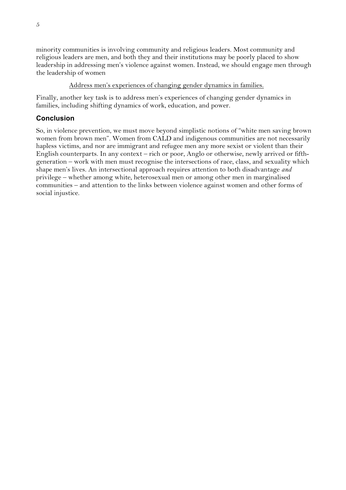minority communities is involving community and religious leaders. Most community and religious leaders are men, and both they and their institutions may be poorly placed to show leadership in addressing men's violence against women. Instead, we should engage men through the leadership of women

#### Address men's experiences of changing gender dynamics in families.

Finally, another key task is to address men's experiences of changing gender dynamics in families, including shifting dynamics of work, education, and power.

## **Conclusion**

So, in violence prevention, we must move beyond simplistic notions of "white men saving brown women from brown men". Women from CALD and indigenous communities are not necessarily hapless victims, and nor are immigrant and refugee men any more sexist or violent than their English counterparts. In any context – rich or poor, Anglo or otherwise, newly arrived or fifthgeneration – work with men must recognise the intersections of race, class, and sexuality which shape men's lives. An intersectional approach requires attention to both disadvantage *and* privilege – whether among white, heterosexual men or among other men in marginalised communities – and attention to the links between violence against women and other forms of social injustice.